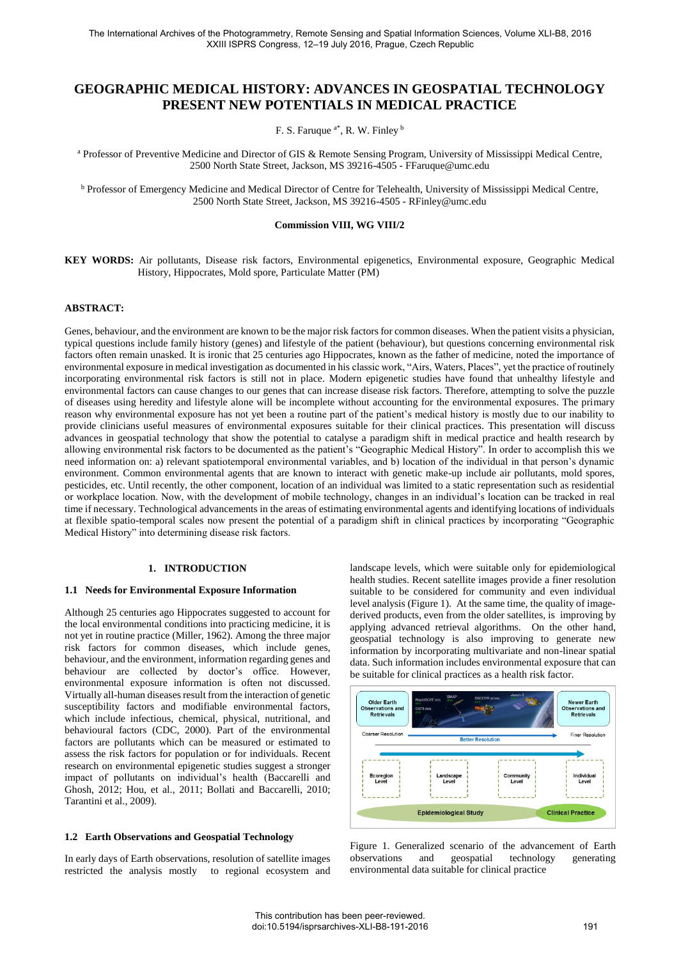# **GEOGRAPHIC MEDICAL HISTORY: ADVANCES IN GEOSPATIAL TECHNOLOGY PRESENT NEW POTENTIALS IN MEDICAL PRACTICE**

F. S. Faruque <sup>a\*</sup>, R. W. Finley <sup>b</sup>

a Professor of Preventive Medicine and Director of GIS & Remote Sensing Program, University of Mississippi Medical Centre, 2500 North State Street, Jackson, MS 39216-4505 - FFaruque@umc.edu

**b** Professor of Emergency Medicine and Medical Director of Centre for Telehealth, University of Mississippi Medical Centre, 2500 North State Street, Jackson, MS 39216-4505 - RFinley@umc.edu

#### **Commission VIII, WG VIII/2**

**KEY WORDS:** Air pollutants, Disease risk factors, Environmental epigenetics, Environmental exposure, Geographic Medical History, Hippocrates, Mold spore, Particulate Matter (PM)

## **ABSTRACT:**

Genes, behaviour, and the environment are known to be the major risk factors for common diseases. When the patient visits a physician, typical questions include family history (genes) and lifestyle of the patient (behaviour), but questions concerning environmental risk factors often remain unasked. It is ironic that 25 centuries ago Hippocrates, known as the father of medicine, noted the importance of environmental exposure in medical investigation as documented in his classic work, "Airs, Waters, Places", yet the practice of routinely incorporating environmental risk factors is still not in place. Modern epigenetic studies have found that unhealthy lifestyle and environmental factors can cause changes to our genes that can increase disease risk factors. Therefore, attempting to solve the puzzle of diseases using heredity and lifestyle alone will be incomplete without accounting for the environmental exposures. The primary reason why environmental exposure has not yet been a routine part of the patient's medical history is mostly due to our inability to provide clinicians useful measures of environmental exposures suitable for their clinical practices. This presentation will discuss advances in geospatial technology that show the potential to catalyse a paradigm shift in medical practice and health research by allowing environmental risk factors to be documented as the patient's "Geographic Medical History". In order to accomplish this we need information on: a) relevant spatiotemporal environmental variables, and b) location of the individual in that person's dynamic environment. Common environmental agents that are known to interact with genetic make-up include air pollutants, mold spores, pesticides, etc. Until recently, the other component, location of an individual was limited to a static representation such as residential or workplace location. Now, with the development of mobile technology, changes in an individual's location can be tracked in real time if necessary. Technological advancements in the areas of estimating environmental agents and identifying locations of individuals at flexible spatio-temporal scales now present the potential of a paradigm shift in clinical practices by incorporating "Geographic Medical History" into determining disease risk factors.

#### **1. INTRODUCTION**

#### **1.1 Needs for Environmental Exposure Information**

Although 25 centuries ago Hippocrates suggested to account for the local environmental conditions into practicing medicine, it is not yet in routine practice (Miller, 1962). Among the three major risk factors for common diseases, which include genes, behaviour, and the environment, information regarding genes and behaviour are collected by doctor's office. However, environmental exposure information is often not discussed. Virtually all-human diseases result from the interaction of genetic susceptibility factors and modifiable environmental factors, which include infectious, chemical, physical, nutritional, and behavioural factors (CDC, 2000). Part of the environmental factors are pollutants which can be measured or estimated to assess the risk factors for population or for individuals. Recent research on environmental epigenetic studies suggest a stronger impact of pollutants on individual's health (Baccarelli and Ghosh, 2012; Hou, et al., 2011; Bollati and Baccarelli, 2010; Tarantini et al., 2009).

### **1.2 Earth Observations and Geospatial Technology**

In early days of Earth observations, resolution of satellite images restricted the analysis mostly to regional ecosystem and landscape levels, which were suitable only for epidemiological health studies. Recent satellite images provide a finer resolution suitable to be considered for community and even individual level analysis (Figure 1). At the same time, the quality of imagederived products, even from the older satellites, is improving by applying advanced retrieval algorithms. On the other hand, geospatial technology is also improving to generate new information by incorporating multivariate and non-linear spatial data. Such information includes environmental exposure that can be suitable for clinical practices as a health risk factor.



Figure 1. Generalized scenario of the advancement of Earth observations and geospatial technology generating environmental data suitable for clinical practice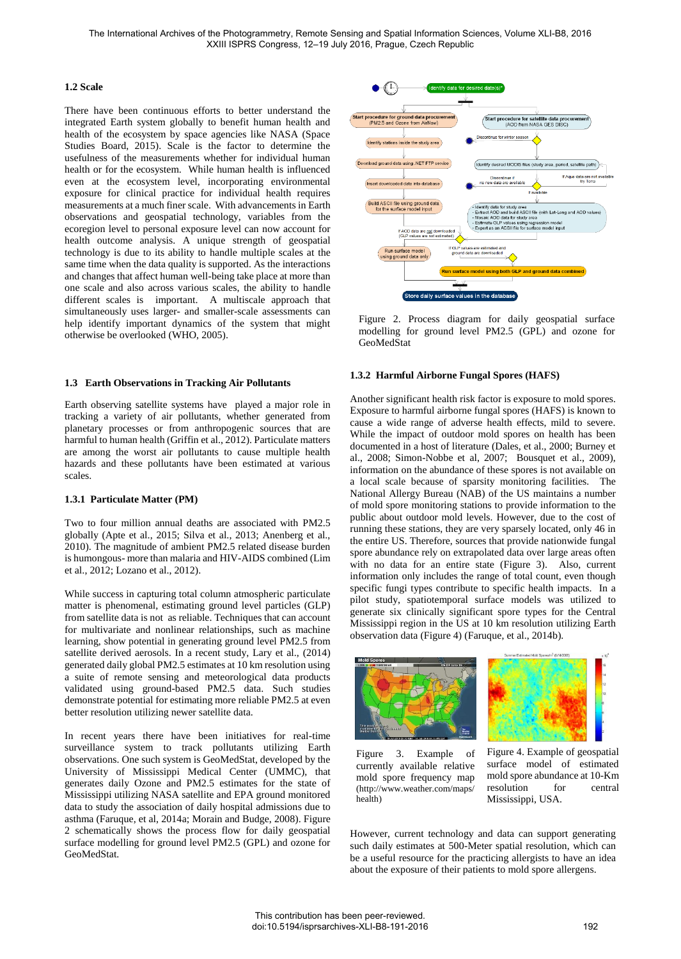## **1.2 Scale**

There have been continuous efforts to better understand the integrated Earth system globally to benefit human health and health of the ecosystem by space agencies like NASA (Space Studies Board, 2015). Scale is the factor to determine the usefulness of the measurements whether for individual human health or for the ecosystem. While human health is influenced even at the ecosystem level, incorporating environmental exposure for clinical practice for individual health requires measurements at a much finer scale. With advancements in Earth observations and geospatial technology, variables from the ecoregion level to personal exposure level can now account for health outcome analysis. A unique strength of geospatial technology is due to its ability to handle multiple scales at the same time when the data quality is supported. As the interactions and changes that affect human well-being take place at more than one scale and also across various scales, the ability to handle different scales is important. A multiscale approach that simultaneously uses larger- and smaller-scale assessments can help identify important dynamics of the system that might otherwise be overlooked (WHO, 2005).

#### **1.3 Earth Observations in Tracking Air Pollutants**

Earth observing satellite systems have played a major role in tracking a variety of air pollutants, whether generated from planetary processes or from anthropogenic sources that are harmful to human health (Griffin et al., 2012). Particulate matters are among the worst air pollutants to cause multiple health hazards and these pollutants have been estimated at various scales.

#### **1.3.1 Particulate Matter (PM)**

Two to four million annual deaths are associated with PM2.5 globally (Apte et al., 2015; Silva et al., 2013; Anenberg et al., 2010). The magnitude of ambient PM2.5 related disease burden is humongous- more than malaria and HIV-AIDS combined (Lim et al., 2012; Lozano et al., 2012).

While success in capturing total column atmospheric particulate matter is phenomenal, estimating ground level particles (GLP) from satellite data is not as reliable. Techniques that can account for multivariate and nonlinear relationships, such as machine learning, show potential in generating ground level PM2.5 from satellite derived aerosols. In a recent study, Lary et al., (2014) generated daily global PM2.5 estimates at 10 km resolution using a suite of remote sensing and meteorological data products validated using ground-based PM2.5 data. Such studies demonstrate potential for estimating more reliable PM2.5 at even better resolution utilizing newer satellite data.

In recent years there have been initiatives for real-time surveillance system to track pollutants utilizing Earth observations. One such system is GeoMedStat, developed by the University of Mississippi Medical Center (UMMC), that generates daily Ozone and PM2.5 estimates for the state of Mississippi utilizing NASA satellite and EPA ground monitored data to study the association of daily hospital admissions due to asthma (Faruque, et al, 2014a; Morain and Budge, 2008). Figure 2 schematically shows the process flow for daily geospatial surface modelling for ground level PM2.5 (GPL) and ozone for GeoMedStat.



Figure 2. Process diagram for daily geospatial surface modelling for ground level PM2.5 (GPL) and ozone for GeoMedStat

## **1.3.2 Harmful Airborne Fungal Spores (HAFS)**

Another significant health risk factor is exposure to mold spores. Exposure to harmful airborne fungal spores (HAFS) is known to cause a wide range of adverse health effects, mild to severe. While the impact of outdoor mold spores on health has been documented in a host of literature (Dales, et al., 2000; Burney et al., 2008; Simon-Nobbe et al, 2007; Bousquet et al., 2009), information on the abundance of these spores is not available on a local scale because of sparsity monitoring facilities. The National Allergy Bureau (NAB) of the US maintains a number of mold spore monitoring stations to provide information to the public about outdoor mold levels. However, due to the cost of running these stations, they are very sparsely located, only 46 in the entire US. Therefore, sources that provide nationwide fungal spore abundance rely on extrapolated data over large areas often with no data for an entire state (Figure 3). Also, current information only includes the range of total count, even though specific fungi types contribute to specific health impacts. In a pilot study, spatiotemporal surface models was utilized to generate six clinically significant spore types for the Central Mississippi region in the US at 10 km resolution utilizing Earth observation data (Figure 4) (Faruque, et al., 2014b).





Figure 3. Example of currently available relative mold spore frequency map (http://www.weather.com/maps/ health)

Figure 4. Example of geospatial surface model of estimated mold spore abundance at 10-Km resolution for central Mississippi, USA.

However, current technology and data can support generating such daily estimates at 500-Meter spatial resolution, which can be a useful resource for the practicing allergists to have an idea about the exposure of their patients to mold spore allergens.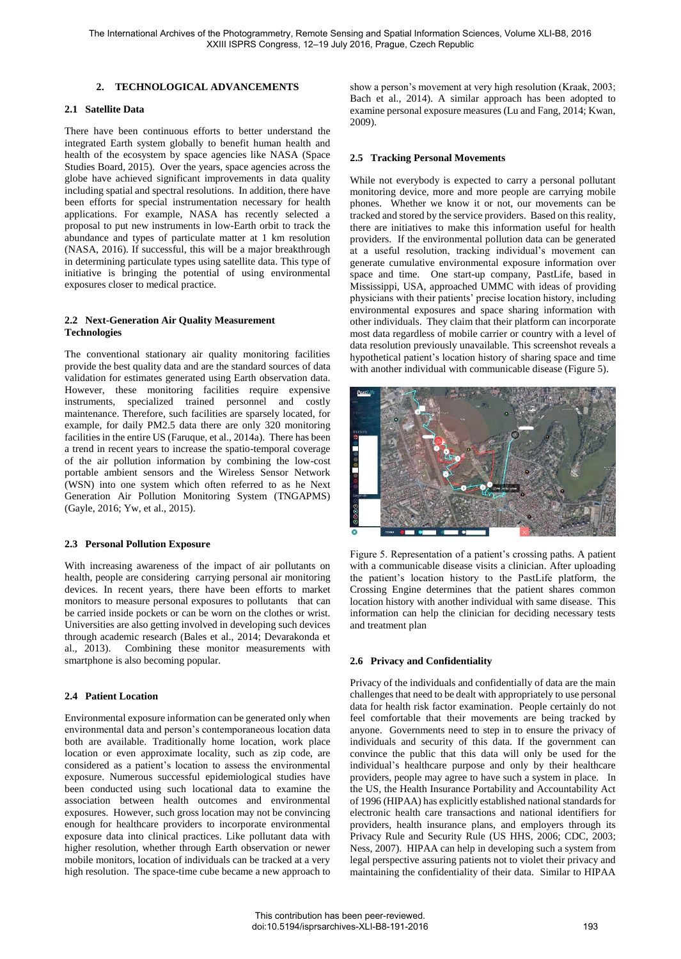## **2. TECHNOLOGICAL ADVANCEMENTS**

### **2.1 Satellite Data**

There have been continuous efforts to better understand the integrated Earth system globally to benefit human health and health of the ecosystem by space agencies like NASA (Space Studies Board, 2015). Over the years, space agencies across the globe have achieved significant improvements in data quality including spatial and spectral resolutions. In addition, there have been efforts for special instrumentation necessary for health applications. For example, NASA has recently selected a proposal to put new instruments in low-Earth orbit to track the abundance and types of particulate matter at 1 km resolution (NASA, 2016). If successful, this will be a major breakthrough in determining particulate types using satellite data. This type of initiative is bringing the potential of using environmental exposures closer to medical practice.

# **2.2 Next-Generation Air Quality Measurement Technologies**

The conventional stationary air quality monitoring facilities provide the best quality data and are the standard sources of data validation for estimates generated using Earth observation data. However, these monitoring facilities require expensive instruments, specialized trained personnel and costly maintenance. Therefore, such facilities are sparsely located, for example, for daily PM2.5 data there are only 320 monitoring facilities in the entire US (Faruque, et al., 2014a). There has been a trend in recent years to increase the spatio-temporal coverage of the air pollution information by combining the low-cost portable ambient sensors and the Wireless Sensor Network (WSN) into one system which often referred to as he Next Generation Air Pollution Monitoring System (TNGAPMS) (Gayle, 2016; Yw, et al., 2015).

# **2.3 Personal Pollution Exposure**

With increasing awareness of the impact of air pollutants on health, people are considering carrying personal air monitoring devices. In recent years, there have been efforts to market monitors to measure personal exposures to pollutants that can be carried inside pockets or can be worn on the clothes or wrist. Universities are also getting involved in developing such devices through academic research (Bales et al., 2014; Devarakonda et al., 2013). Combining these monitor measurements with smartphone is also becoming popular.

# **2.4 Patient Location**

Environmental exposure information can be generated only when environmental data and person's contemporaneous location data both are available. Traditionally home location, work place location or even approximate locality, such as zip code, are considered as a patient's location to assess the environmental exposure. Numerous successful epidemiological studies have been conducted using such locational data to examine the association between health outcomes and environmental exposures. However, such gross location may not be convincing enough for healthcare providers to incorporate environmental exposure data into clinical practices. Like pollutant data with higher resolution, whether through Earth observation or newer mobile monitors, location of individuals can be tracked at a very high resolution. The space-time cube became a new approach to show a person's movement at very high resolution (Kraak, 2003; Bach et al., 2014). A similar approach has been adopted to examine personal exposure measures (Lu and Fang, 2014; Kwan, 2009).

## **2.5 Tracking Personal Movements**

While not everybody is expected to carry a personal pollutant monitoring device, more and more people are carrying mobile phones. Whether we know it or not, our movements can be tracked and stored by the service providers. Based on this reality, there are initiatives to make this information useful for health providers. If the environmental pollution data can be generated at a useful resolution, tracking individual's movement can generate cumulative environmental exposure information over space and time. One start-up company, PastLife, based in Mississippi, USA, approached UMMC with ideas of providing physicians with their patients' precise location history, including environmental exposures and space sharing information with other individuals. They claim that their platform can incorporate most data regardless of mobile carrier or country with a level of data resolution previously unavailable. This screenshot reveals a hypothetical patient's location history of sharing space and time with another individual with communicable disease (Figure 5).



Figure 5. Representation of a patient's crossing paths. A patient with a communicable disease visits a clinician. After uploading the patient's location history to the PastLife platform, the Crossing Engine determines that the patient shares common location history with another individual with same disease. This information can help the clinician for deciding necessary tests and treatment plan

# **2.6 Privacy and Confidentiality**

Privacy of the individuals and confidentially of data are the main challenges that need to be dealt with appropriately to use personal data for health risk factor examination. People certainly do not feel comfortable that their movements are being tracked by anyone. Governments need to step in to ensure the privacy of individuals and security of this data. If the government can convince the public that this data will only be used for the individual's healthcare purpose and only by their healthcare providers, people may agree to have such a system in place. In the US, the Health Insurance Portability and Accountability Act of 1996 (HIPAA) has explicitly established national standards for electronic health care transactions and national identifiers for providers, health insurance plans, and employers through its Privacy Rule and Security Rule (US HHS, 2006; CDC, 2003; Ness, 2007). HIPAA can help in developing such a system from legal perspective assuring patients not to violet their privacy and maintaining the confidentiality of their data. Similar to HIPAA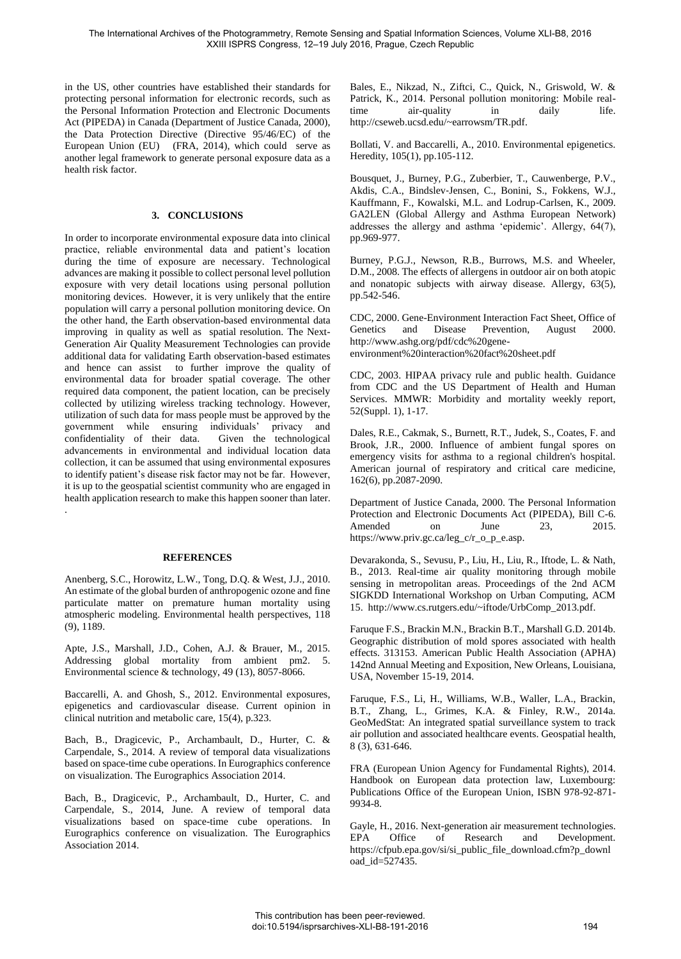in the US, other countries have established their standards for protecting personal information for electronic records, such as the Personal Information Protection and Electronic Documents Act (PIPEDA) in Canada (Department of Justice Canada, 2000), the Data Protection Directive (Directive 95/46/EC) of the European Union (EU) (FRA, 2014), which could serve as another legal framework to generate personal exposure data as a health risk factor.

# **3. CONCLUSIONS**

In order to incorporate environmental exposure data into clinical practice, reliable environmental data and patient's location during the time of exposure are necessary. Technological advances are making it possible to collect personal level pollution exposure with very detail locations using personal pollution monitoring devices. However, it is very unlikely that the entire population will carry a personal pollution monitoring device. On the other hand, the Earth observation-based environmental data improving in quality as well as spatial resolution. The Next-Generation Air Quality Measurement Technologies can provide additional data for validating Earth observation-based estimates and hence can assist to further improve the quality of environmental data for broader spatial coverage. The other required data component, the patient location, can be precisely collected by utilizing wireless tracking technology. However, utilization of such data for mass people must be approved by the government while ensuring individuals' privacy and confidentiality of their data. Given the technological advancements in environmental and individual location data collection, it can be assumed that using environmental exposures to identify patient's disease risk factor may not be far. However, it is up to the geospatial scientist community who are engaged in health application research to make this happen sooner than later. .

# **REFERENCES**

Anenberg, S.C., Horowitz, L.W., Tong, D.Q. & West, J.J., 2010. An estimate of the global burden of anthropogenic ozone and fine particulate matter on premature human mortality using atmospheric modeling. Environmental health perspectives, 118 (9), 1189.

Apte, J.S., Marshall, J.D., Cohen, A.J. & Brauer, M., 2015. Addressing global mortality from ambient pm2. 5. Environmental science & technology, 49 (13), 8057-8066.

Baccarelli, A. and Ghosh, S., 2012. Environmental exposures, epigenetics and cardiovascular disease. Current opinion in clinical nutrition and metabolic care, 15(4), p.323.

Bach, B., Dragicevic, P., Archambault, D., Hurter, C. & Carpendale, S., 2014. A review of temporal data visualizations based on space-time cube operations. In Eurographics conference on visualization. The Eurographics Association 2014.

Bach, B., Dragicevic, P., Archambault, D., Hurter, C. and Carpendale, S., 2014, June. A review of temporal data visualizations based on space-time cube operations. In Eurographics conference on visualization. The Eurographics Association 2014.

Bales, E., Nikzad, N., Ziftci, C., Quick, N., Griswold, W. & Patrick, K., 2014. Personal pollution monitoring: Mobile realtime air-quality in daily life. http://cseweb.ucsd.edu/~earrowsm/TR.pdf.

Bollati, V. and Baccarelli, A., 2010. Environmental epigenetics. Heredity, 105(1), pp.105-112.

Bousquet, J., Burney, P.G., Zuberbier, T., Cauwenberge, P.V., Akdis, C.A., Bindslev‐Jensen, C., Bonini, S., Fokkens, W.J., Kauffmann, F., Kowalski, M.L. and Lodrup‐Carlsen, K., 2009. GA2LEN (Global Allergy and Asthma European Network) addresses the allergy and asthma 'epidemic'. Allergy, 64(7), pp.969-977.

Burney, P.G.J., Newson, R.B., Burrows, M.S. and Wheeler, D.M., 2008. The effects of allergens in outdoor air on both atopic and nonatopic subjects with airway disease. Allergy, 63(5), pp.542-546.

CDC, 2000. Gene-Environment Interaction Fact Sheet, Office of Genetics and Disease Prevention, August 2000. http://www.ashg.org/pdf/cdc%20geneenvironment%20interaction%20fact%20sheet.pdf

CDC, 2003. HIPAA privacy rule and public health. Guidance from CDC and the US Department of Health and Human Services. MMWR: Morbidity and mortality weekly report, 52(Suppl. 1), 1-17.

Dales, R.E., Cakmak, S., Burnett, R.T., Judek, S., Coates, F. and Brook, J.R., 2000. Influence of ambient fungal spores on emergency visits for asthma to a regional children's hospital. American journal of respiratory and critical care medicine, 162(6), pp.2087-2090.

Department of Justice Canada, 2000. The Personal Information Protection and Electronic Documents Act (PIPEDA), Bill C-6. Amended on June 23, 2015. https://www.priv.gc.ca/leg\_c/r\_o\_p\_e.asp.

Devarakonda, S., Sevusu, P., Liu, H., Liu, R., Iftode, L. & Nath, B., 2013. Real-time air quality monitoring through mobile sensing in metropolitan areas. Proceedings of the 2nd ACM SIGKDD International Workshop on Urban Computing, ACM 15. http://www.cs.rutgers.edu/~iftode/UrbComp\_2013.pdf.

Faruque F.S., Brackin M.N., Brackin B.T., Marshall G.D. 2014b. Geographic distribution of mold spores associated with health effects. 313153. American Public Health Association (APHA) 142nd Annual Meeting and Exposition, New Orleans, Louisiana, USA, November 15-19, 2014.

Faruque, F.S., Li, H., Williams, W.B., Waller, L.A., Brackin, B.T., Zhang, L., Grimes, K.A. & Finley, R.W., 2014a. GeoMedStat: An integrated spatial surveillance system to track air pollution and associated healthcare events. Geospatial health, 8 (3), 631-646.

FRA (European Union Agency for Fundamental Rights), 2014. Handbook on European data protection law, Luxembourg: Publications Office of the European Union, ISBN 978-92-871- 9934-8.

Gayle, H., 2016. Next-generation air measurement technologies. EPA Office of Research and Development. https://cfpub.epa.gov/si/si\_public\_file\_download.cfm?p\_downl oad id=527435.